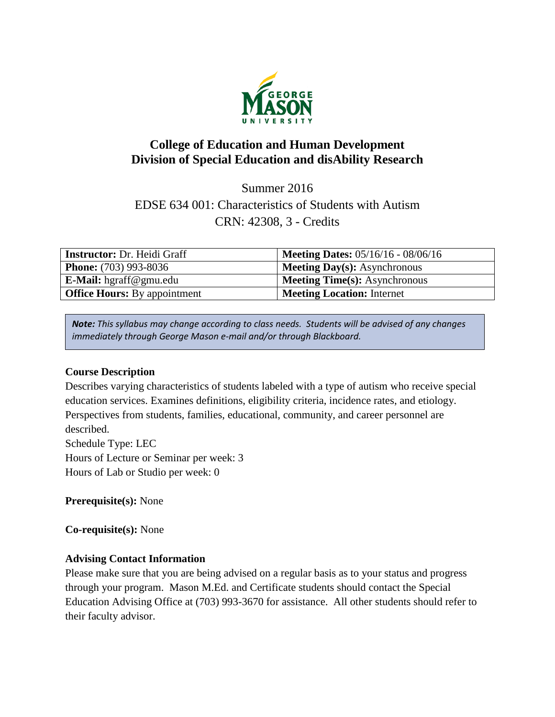

# **College of Education and Human Development Division of Special Education and disAbility Research**

Summer 2016

# EDSE 634 001: Characteristics of Students with Autism CRN: 42308, 3 - Credits

| <b>Instructor:</b> Dr. Heidi Graff  | <b>Meeting Dates:</b> 05/16/16 - 08/06/16 |
|-------------------------------------|-------------------------------------------|
| <b>Phone:</b> (703) 993-8036        | <b>Meeting Day(s):</b> Asynchronous       |
| <b>E-Mail:</b> hgraff@gmu.edu       | <b>Meeting Time(s): Asynchronous</b>      |
| <b>Office Hours:</b> By appointment | <b>Meeting Location: Internet</b>         |

*Note: This syllabus may change according to class needs. Students will be advised of any changes immediately through George Mason e-mail and/or through Blackboard.*

## **Course Description**

Describes varying characteristics of students labeled with a type of autism who receive special education services. Examines definitions, eligibility criteria, incidence rates, and etiology. Perspectives from students, families, educational, community, and career personnel are described. Schedule Type: LEC

Hours of Lecture or Seminar per week: 3 Hours of Lab or Studio per week: 0

**Prerequisite(s):** None

**Co-requisite(s):** None

## **Advising Contact Information**

Please make sure that you are being advised on a regular basis as to your status and progress through your program. Mason M.Ed. and Certificate students should contact the Special Education Advising Office at (703) 993-3670 for assistance. All other students should refer to their faculty advisor.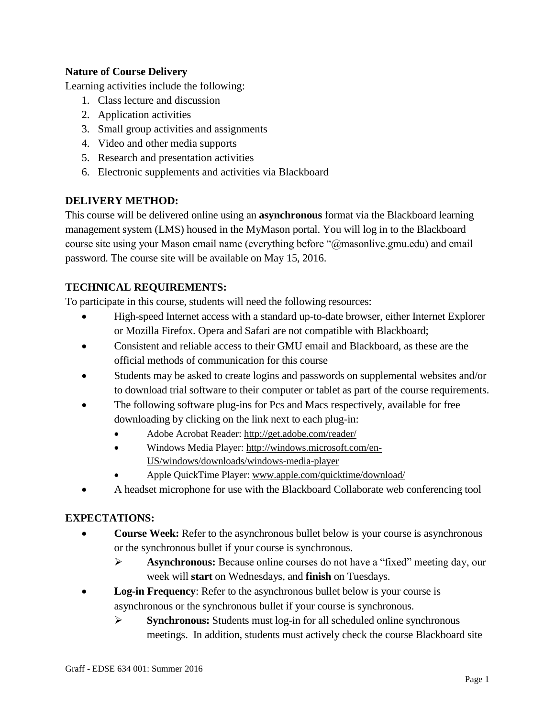### **Nature of Course Delivery**

Learning activities include the following:

- 1. Class lecture and discussion
- 2. Application activities
- 3. Small group activities and assignments
- 4. Video and other media supports
- 5. Research and presentation activities
- 6. Electronic supplements and activities via Blackboard

### **DELIVERY METHOD:**

This course will be delivered online using an **asynchronous** format via the Blackboard learning management system (LMS) housed in the MyMason portal. You will log in to the Blackboard course site using your Mason email name (everything before "@masonlive.gmu.edu) and email password. The course site will be available on May 15, 2016.

### **TECHNICAL REQUIREMENTS:**

To participate in this course, students will need the following resources:

- High-speed Internet access with a standard up-to-date browser, either Internet Explorer or Mozilla Firefox. Opera and Safari are not compatible with Blackboard;
- Consistent and reliable access to their GMU email and Blackboard, as these are the official methods of communication for this course
- Students may be asked to create logins and passwords on supplemental websites and/or to download trial software to their computer or tablet as part of the course requirements.
- The following software plug-ins for Pcs and Macs respectively, available for free downloading by clicking on the link next to each plug-in:
	- Adobe Acrobat Reader:<http://get.adobe.com/reader/>
	- Windows Media Player: [http://windows.microsoft.com/en-](http://windows.microsoft.com/en-US/windows/downloads/windows-media-player)[US/windows/downloads/windows-media-player](http://windows.microsoft.com/en-US/windows/downloads/windows-media-player)
	- Apple QuickTime Player: [www.apple.com/quicktime/download/](http://www.apple.com/quicktime/download/)
- A headset microphone for use with the Blackboard Collaborate web conferencing tool

### **EXPECTATIONS:**

- **Course Week:** Refer to the asynchronous bullet below is your course is asynchronous or the synchronous bullet if your course is synchronous.
	- **Asynchronous:** Because online courses do not have a "fixed" meeting day, our week will **start** on Wednesdays, and **finish** on Tuesdays.
- **Log-in Frequency**: Refer to the asynchronous bullet below is your course is asynchronous or the synchronous bullet if your course is synchronous.
	- **Synchronous:** Students must log-in for all scheduled online synchronous meetings. In addition, students must actively check the course Blackboard site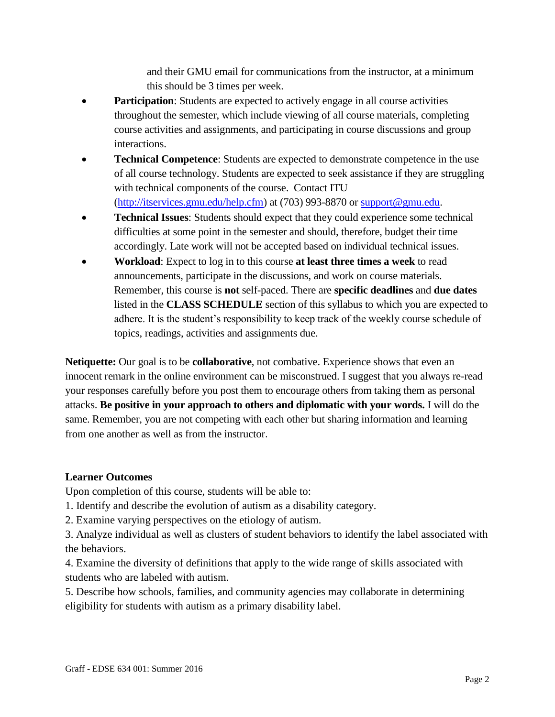and their GMU email for communications from the instructor, at a minimum this should be 3 times per week.

- **Participation**: Students are expected to actively engage in all course activities throughout the semester, which include viewing of all course materials, completing course activities and assignments, and participating in course discussions and group interactions.
- **Technical Competence**: Students are expected to demonstrate competence in the use of all course technology. Students are expected to seek assistance if they are struggling with technical components of the course. Contact ITU [\(http://itservices.gmu.edu/help.cfm\)](http://itservices.gmu.edu/help.cfm) at (703) 993-8870 or [support@gmu.edu.](mailto:support@gmu.edu)
- **Technical Issues**: Students should expect that they could experience some technical difficulties at some point in the semester and should, therefore, budget their time accordingly. Late work will not be accepted based on individual technical issues.
- **Workload**: Expect to log in to this course **at least three times a week** to read announcements, participate in the discussions, and work on course materials. Remember, this course is **not** self-paced. There are **specific deadlines** and **due dates** listed in the **CLASS SCHEDULE** section of this syllabus to which you are expected to adhere. It is the student's responsibility to keep track of the weekly course schedule of topics, readings, activities and assignments due.

**Netiquette:** Our goal is to be **collaborative**, not combative. Experience shows that even an innocent remark in the online environment can be misconstrued. I suggest that you always re-read your responses carefully before you post them to encourage others from taking them as personal attacks. **Be positive in your approach to others and diplomatic with your words.** I will do the same. Remember, you are not competing with each other but sharing information and learning from one another as well as from the instructor.

### **Learner Outcomes**

Upon completion of this course, students will be able to:

- 1. Identify and describe the evolution of autism as a disability category.
- 2. Examine varying perspectives on the etiology of autism.

3. Analyze individual as well as clusters of student behaviors to identify the label associated with the behaviors.

4. Examine the diversity of definitions that apply to the wide range of skills associated with students who are labeled with autism.

5. Describe how schools, families, and community agencies may collaborate in determining eligibility for students with autism as a primary disability label.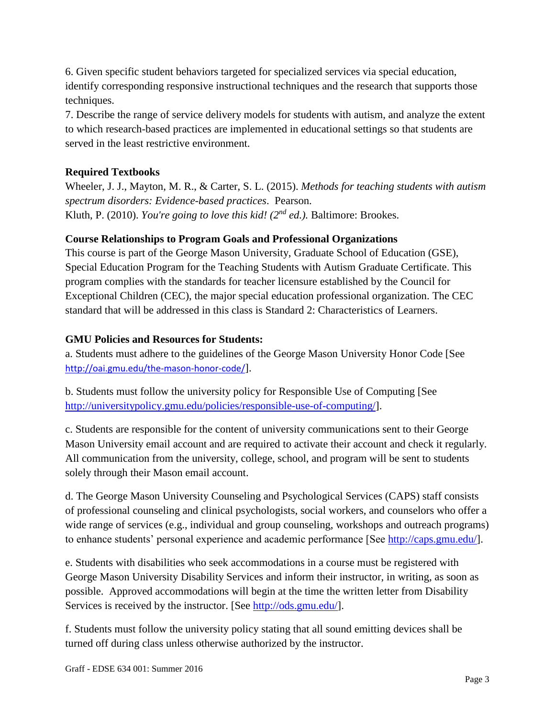6. Given specific student behaviors targeted for specialized services via special education, identify corresponding responsive instructional techniques and the research that supports those techniques.

7. Describe the range of service delivery models for students with autism, and analyze the extent to which research-based practices are implemented in educational settings so that students are served in the least restrictive environment.

### **Required Textbooks**

Wheeler, J. J., Mayton, M. R., & Carter, S. L. (2015). *Methods for teaching students with autism spectrum disorders: Evidence-based practices*. Pearson. Kluth, P. (2010). *You're going to love this kid! (2nd ed.).* Baltimore: Brookes.

### **Course Relationships to Program Goals and Professional Organizations**

This course is part of the George Mason University, Graduate School of Education (GSE), Special Education Program for the Teaching Students with Autism Graduate Certificate. This program complies with the standards for teacher licensure established by the Council for Exceptional Children (CEC), the major special education professional organization. The CEC standard that will be addressed in this class is Standard 2: Characteristics of Learners.

### **GMU Policies and Resources for Students:**

a. Students must adhere to the guidelines of the George Mason University Honor Code [See <http://oai.gmu.edu/the-mason-honor-code/>].

b. Students must follow the university policy for Responsible Use of Computing [See [http://universitypolicy.gmu.edu/policies/responsible-use-of-computing/\]](http://universitypolicy.gmu.edu/policies/responsible-use-of-computing/).

c. Students are responsible for the content of university communications sent to their George Mason University email account and are required to activate their account and check it regularly. All communication from the university, college, school, and program will be sent to students solely through their Mason email account.

d. The George Mason University Counseling and Psychological Services (CAPS) staff consists of professional counseling and clinical psychologists, social workers, and counselors who offer a wide range of services (e.g., individual and group counseling, workshops and outreach programs) to enhance students' personal experience and academic performance [See [http://caps.gmu.edu/\]](http://caps.gmu.edu/).

e. Students with disabilities who seek accommodations in a course must be registered with George Mason University Disability Services and inform their instructor, in writing, as soon as possible. Approved accommodations will begin at the time the written letter from Disability Services is received by the instructor. [See [http://ods.gmu.edu/\]](http://ods.gmu.edu/).

f. Students must follow the university policy stating that all sound emitting devices shall be turned off during class unless otherwise authorized by the instructor.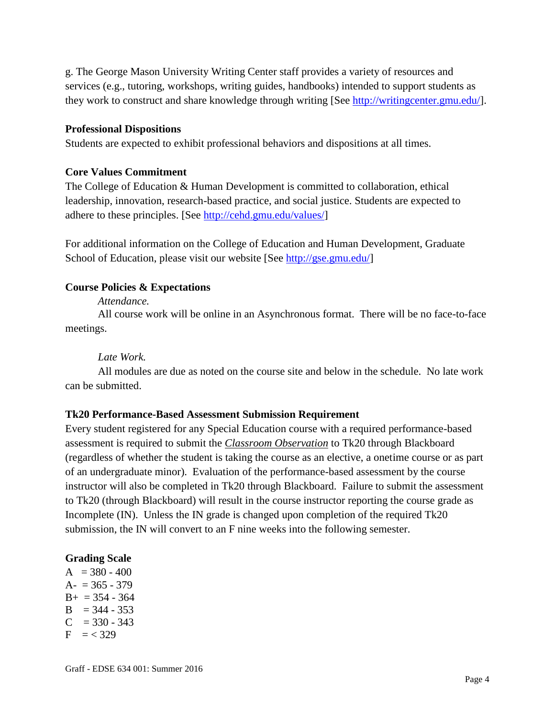g. The George Mason University Writing Center staff provides a variety of resources and services (e.g., tutoring, workshops, writing guides, handbooks) intended to support students as they work to construct and share knowledge through writing [See [http://writingcenter.gmu.edu/\]](http://writingcenter.gmu.edu/).

#### **Professional Dispositions**

Students are expected to exhibit professional behaviors and dispositions at all times.

#### **Core Values Commitment**

The College of Education & Human Development is committed to collaboration, ethical leadership, innovation, research-based practice, and social justice. Students are expected to adhere to these principles. [See [http://cehd.gmu.edu/values/\]](http://cehd.gmu.edu/values/)

For additional information on the College of Education and Human Development, Graduate School of Education, please visit our website [See [http://gse.gmu.edu/\]](http://gse.gmu.edu/)

#### **Course Policies & Expectations**

*Attendance.*

All course work will be online in an Asynchronous format. There will be no face-to-face meetings.

#### *Late Work.*

All modules are due as noted on the course site and below in the schedule. No late work can be submitted.

#### **Tk20 Performance-Based Assessment Submission Requirement**

Every student registered for any Special Education course with a required performance-based assessment is required to submit the *Classroom Observation* to Tk20 through Blackboard (regardless of whether the student is taking the course as an elective, a onetime course or as part of an undergraduate minor). Evaluation of the performance-based assessment by the course instructor will also be completed in Tk20 through Blackboard. Failure to submit the assessment to Tk20 (through Blackboard) will result in the course instructor reporting the course grade as Incomplete (IN). Unless the IN grade is changed upon completion of the required Tk20 submission, the IN will convert to an F nine weeks into the following semester.

#### **Grading Scale**

 $A = 380 - 400$  $A- = 365 - 379$  $B_+ = 354 - 364$  $B = 344 - 353$  $C = 330 - 343$  $F = < 329$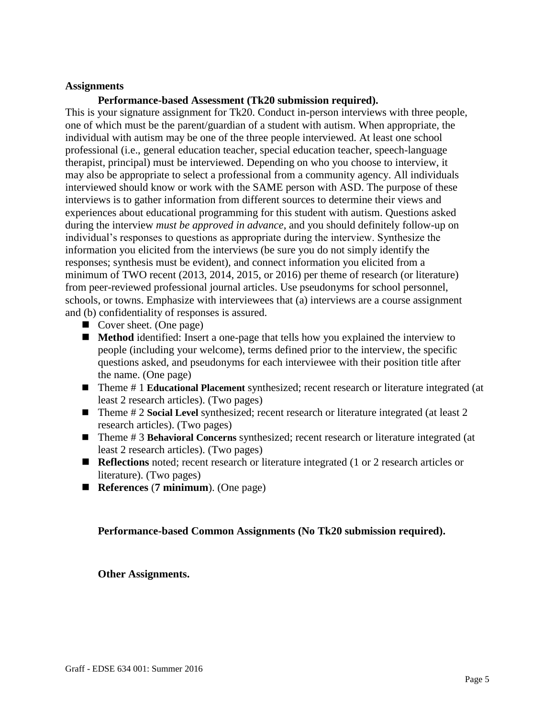#### **Assignments**

**Performance-based Assessment (Tk20 submission required).**

This is your signature assignment for Tk20. Conduct in-person interviews with three people, one of which must be the parent/guardian of a student with autism. When appropriate, the individual with autism may be one of the three people interviewed. At least one school professional (i.e., general education teacher, special education teacher, speech-language therapist, principal) must be interviewed. Depending on who you choose to interview, it may also be appropriate to select a professional from a community agency. All individuals interviewed should know or work with the SAME person with ASD. The purpose of these interviews is to gather information from different sources to determine their views and experiences about educational programming for this student with autism. Questions asked during the interview *must be approved in advance*, and you should definitely follow-up on individual's responses to questions as appropriate during the interview. Synthesize the information you elicited from the interviews (be sure you do not simply identify the responses; synthesis must be evident), and connect information you elicited from a minimum of TWO recent (2013, 2014, 2015, or 2016) per theme of research (or literature) from peer-reviewed professional journal articles. Use pseudonyms for school personnel, schools, or towns. Emphasize with interviewees that (a) interviews are a course assignment and (b) confidentiality of responses is assured.

- Cover sheet. (One page)
- **Method** identified: Insert a one-page that tells how you explained the interview to people (including your welcome), terms defined prior to the interview, the specific questions asked, and pseudonyms for each interviewee with their position title after the name. (One page)
- Theme # 1 **Educational Placement** synthesized; recent research or literature integrated (at least 2 research articles). (Two pages)
- Theme # 2 **Social Level** synthesized; recent research or literature integrated (at least 2 research articles). (Two pages)
- Theme # 3 **Behavioral Concerns** synthesized; recent research or literature integrated (at least 2 research articles). (Two pages)
- **Reflections** noted; recent research or literature integrated (1 or 2 research articles or literature). (Two pages)
- **References** (**7 minimum**). (One page)

#### **Performance-based Common Assignments (No Tk20 submission required).**

**Other Assignments.**